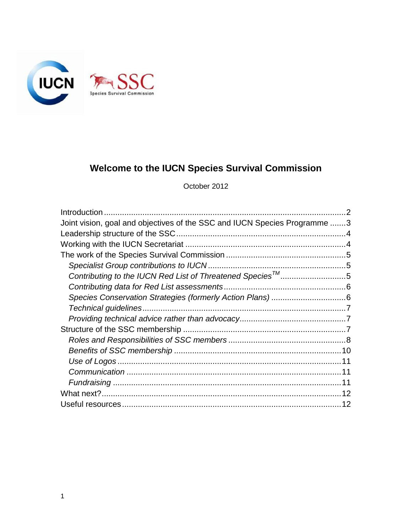

# **Welcome to the IUCN Species Survival Commission**

October 2012

| Joint vision, goal and objectives of the SSC and IUCN Species Programme 3 |  |
|---------------------------------------------------------------------------|--|
|                                                                           |  |
|                                                                           |  |
|                                                                           |  |
|                                                                           |  |
| Contributing to the IUCN Red List of Threatened Species™ 5                |  |
|                                                                           |  |
|                                                                           |  |
|                                                                           |  |
|                                                                           |  |
|                                                                           |  |
|                                                                           |  |
|                                                                           |  |
|                                                                           |  |
|                                                                           |  |
|                                                                           |  |
|                                                                           |  |
|                                                                           |  |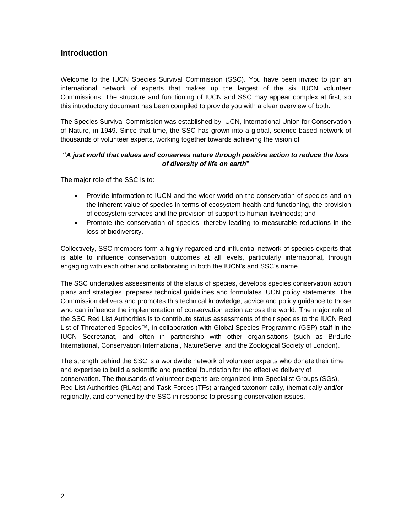## <span id="page-1-0"></span>**Introduction**

Welcome to the IUCN Species Survival Commission (SSC). You have been invited to join an international network of experts that makes up the largest of the six IUCN volunteer Commissions. The structure and functioning of IUCN and SSC may appear complex at first, so this introductory document has been compiled to provide you with a clear overview of both.

The Species Survival Commission was established by IUCN, International Union for Conservation of Nature, in 1949. Since that time, the SSC has grown into a global, science-based network of thousands of volunteer experts, working together towards achieving the vision of

#### **"***A just world that values and conserves nature through positive action to reduce the loss of diversity of life on earth***"**

The major role of the SSC is to:

- Provide information to IUCN and the wider world on the conservation of species and on the inherent value of species in terms of ecosystem health and functioning, the provision of ecosystem services and the provision of support to human livelihoods; and
- Promote the conservation of species, thereby leading to measurable reductions in the loss of biodiversity.

Collectively, SSC members form a highly-regarded and influential network of species experts that is able to influence conservation outcomes at all levels, particularly international, through engaging with each other and collaborating in both the IUCN"s and SSC"s name.

The SSC undertakes assessments of the status of species, develops species conservation action plans and strategies, prepares technical guidelines and formulates IUCN policy statements. The Commission delivers and promotes this technical knowledge, advice and policy guidance to those who can influence the implementation of conservation action across the world. The major role of the SSC Red List Authorities is to contribute status assessments of their species to the IUCN Red List of Threatened Species™, in collaboration with Global Species Programme (GSP) staff in the IUCN Secretariat, and often in partnership with other organisations (such as BirdLife International, Conservation International, NatureServe, and the Zoological Society of London).

<span id="page-1-1"></span>The strength behind the SSC is a worldwide network of volunteer experts who donate their time and expertise to build a scientific and practical foundation for the effective delivery of conservation. The thousands of volunteer experts are organized into Specialist Groups (SGs), Red List Authorities (RLAs) and Task Forces (TFs) arranged taxonomically, thematically and/or regionally, and convened by the SSC in response to pressing conservation issues.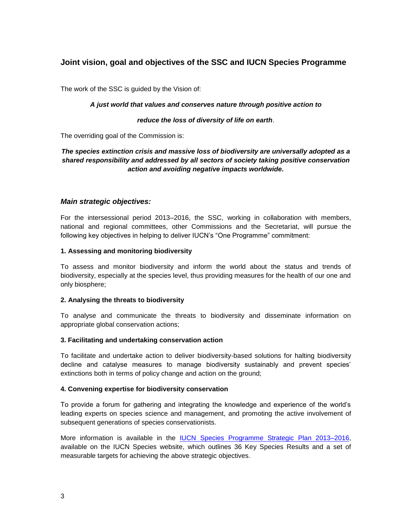# **Joint vision, goal and objectives of the SSC and IUCN Species Programme**

The work of the SSC is guided by the Vision of:

#### *A just world that values and conserves nature through positive action to*

#### *reduce the loss of diversity of life on earth*.

The overriding goal of the Commission is:

#### *The species extinction crisis and massive loss of biodiversity are universally adopted as a shared responsibility and addressed by all sectors of society taking positive conservation action and avoiding negative impacts worldwide.*

#### *Main strategic objectives:*

For the intersessional period 2013–2016, the SSC, working in collaboration with members, national and regional committees, other Commissions and the Secretariat, will pursue the following key objectives in helping to deliver IUCN"s "One Programme" commitment:

#### **1. Assessing and monitoring biodiversity**

To assess and monitor biodiversity and inform the world about the status and trends of biodiversity, especially at the species level, thus providing measures for the health of our one and only biosphere;

#### **2. Analysing the threats to biodiversity**

To analyse and communicate the threats to biodiversity and disseminate information on appropriate global conservation actions;

#### **3. Facilitating and undertaking conservation action**

To facilitate and undertake action to deliver biodiversity-based solutions for halting biodiversity decline and catalyse measures to manage biodiversity sustainably and prevent species' extinctions both in terms of policy change and action on the ground;

#### **4. Convening expertise for biodiversity conservation**

To provide a forum for gathering and integrating the knowledge and experience of the world"s leading experts on species science and management, and promoting the active involvement of subsequent generations of species conservationists.

More information is available in the [IUCN Species Programme Strategic](https://cmsdata.iucn.org/downloads/2013_2016_species_strategic_plan_final.pdf) Plan 2013–2016, available on the IUCN Species website, which outlines 36 Key Species Results and a set of measurable targets for achieving the above strategic objectives.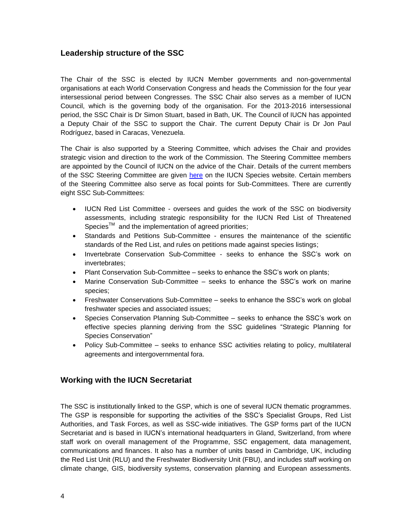## <span id="page-3-0"></span>**Leadership structure of the SSC**

The Chair of the SSC is elected by IUCN Member governments and non-governmental organisations at each World Conservation Congress and heads the Commission for the four year intersessional period between Congresses. The SSC Chair also serves as a member of IUCN Council, which is the governing body of the organisation. For the 2013-2016 intersessional period, the SSC Chair is Dr Simon Stuart, based in Bath, UK. The Council of IUCN has appointed a Deputy Chair of the SSC to support the Chair. The current Deputy Chair is Dr Jon Paul Rodríguez, based in Caracas, Venezuela.

The Chair is also supported by a Steering Committee, which advises the Chair and provides strategic vision and direction to the work of the Commission. The Steering Committee members are appointed by the Council of IUCN on the advice of the Chair. Details of the current members of the SSC Steering Committee are given [here](http://www.iucn.org/about/work/programmes/species/who_we_are/about_the_species_survival_commission_/ssc_leadership) on the IUCN Species website. Certain members of the Steering Committee also serve as focal points for Sub-Committees. There are currently eight SSC Sub-Committees:

- IUCN Red List Committee oversees and guides the work of the SSC on biodiversity assessments, including strategic responsibility for the IUCN Red List of Threatened Species<sup>TM</sup> and the implementation of agreed priorities;
- Standards and Petitions Sub-Committee ensures the maintenance of the scientific standards of the Red List, and rules on petitions made against species listings;
- Invertebrate Conservation Sub-Committee seeks to enhance the SSC's work on invertebrates;
- Plant Conservation Sub-Committee seeks to enhance the SSC"s work on plants;
- Marine Conservation Sub-Committee seeks to enhance the SSC's work on marine species;
- Freshwater Conservations Sub-Committee seeks to enhance the SSC"s work on global freshwater species and associated issues;
- Species Conservation Planning Sub-Committee seeks to enhance the SSC"s work on effective species planning deriving from the SSC guidelines "Strategic Planning for Species Conservation"
- Policy Sub-Committee seeks to enhance SSC activities relating to policy, multilateral agreements and intergovernmental fora.

## <span id="page-3-1"></span>**Working with the IUCN Secretariat**

The SSC is institutionally linked to the GSP, which is one of several IUCN thematic programmes. The GSP is responsible for supporting the activities of the SSC"s Specialist Groups, Red List Authorities, and Task Forces, as well as SSC-wide initiatives. The GSP forms part of the IUCN Secretariat and is based in IUCN"s international headquarters in Gland, Switzerland, from where staff work on overall management of the Programme, SSC engagement, data management, communications and finances. It also has a number of units based in Cambridge, UK, including the Red List Unit (RLU) and the Freshwater Biodiversity Unit (FBU), and includes staff working on climate change, GIS, biodiversity systems, conservation planning and European assessments.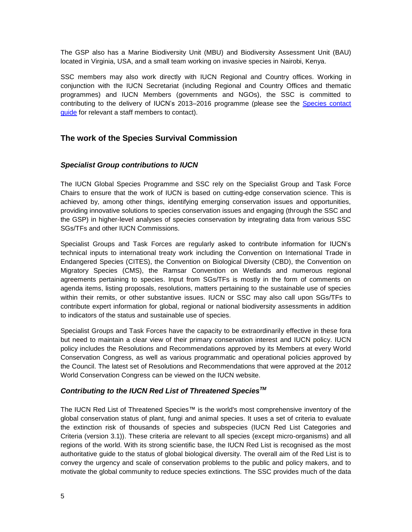The GSP also has a Marine Biodiversity Unit (MBU) and Biodiversity Assessment Unit (BAU) located in Virginia, USA, and a small team working on invasive species in Nairobi, Kenya.

SSC members may also work directly with IUCN Regional and Country offices. Working in conjunction with the IUCN Secretariat (including Regional and Country Offices and thematic programmes) and IUCN Members (governments and NGOs), the SSC is committed to contributing to the delivery of IUCN's 2013–2016 programme (please see the Species contact [guide](https://cmsdata.iucn.org/downloads/species_contact_guide.pdf) for relevant a staff members to contact).

# <span id="page-4-0"></span>**The work of the Species Survival Commission**

## <span id="page-4-1"></span>*Specialist Group contributions to IUCN*

The IUCN Global Species Programme and SSC rely on the Specialist Group and Task Force Chairs to ensure that the work of IUCN is based on cutting-edge conservation science. This is achieved by, among other things, identifying emerging conservation issues and opportunities, providing innovative solutions to species conservation issues and engaging (through the SSC and the GSP) in higher-level analyses of species conservation by integrating data from various SSC SGs/TFs and other IUCN Commissions.

Specialist Groups and Task Forces are regularly asked to contribute information for IUCN"s technical inputs to international treaty work including the Convention on International Trade in Endangered Species (CITES), the Convention on Biological Diversity (CBD), the Convention on Migratory Species (CMS), the Ramsar Convention on Wetlands and numerous regional agreements pertaining to species. Input from SGs/TFs is mostly in the form of comments on agenda items, listing proposals, resolutions, matters pertaining to the sustainable use of species within their remits, or other substantive issues. IUCN or SSC may also call upon SGs/TFs to contribute expert information for global, regional or national biodiversity assessments in addition to indicators of the status and sustainable use of species.

Specialist Groups and Task Forces have the capacity to be extraordinarily effective in these fora but need to maintain a clear view of their primary conservation interest and IUCN policy. IUCN policy includes the Resolutions and Recommendations approved by its Members at every World Conservation Congress, as well as various programmatic and operational policies approved by the Council. The latest set of Resolutions and Recommendations that were approved at the 2012 World Conservation Congress can be viewed on the IUCN website.

## <span id="page-4-2"></span>*Contributing to the IUCN Red List of Threatened SpeciesTM*

The IUCN Red List of Threatened Species™ is the world's most comprehensive inventory of the global conservation status of plant, fungi and animal species. It uses a set of criteria to evaluate the extinction risk of thousands of species and subspecies (IUCN Red List Categories and Criteria (version 3.1)). These criteria are relevant to all species (except micro-organisms) and all regions of the world. With its strong scientific base, the IUCN Red List is recognised as the most authoritative guide to the status of global biological diversity. The overall aim of the Red List is to convey the urgency and scale of conservation problems to the public and policy makers, and to motivate the global community to reduce species extinctions. The SSC provides much of the data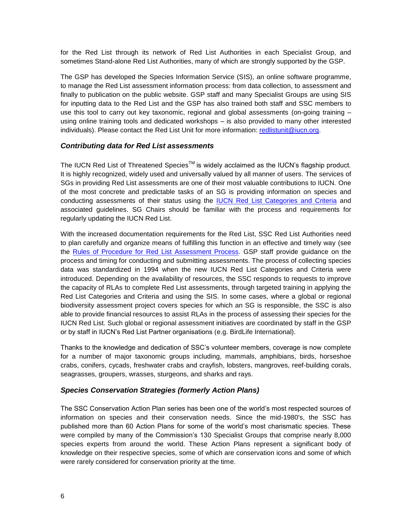for the Red List through its network of Red List Authorities in each Specialist Group, and sometimes Stand-alone Red List Authorities, many of which are strongly supported by the GSP.

The GSP has developed the Species Information Service (SIS), an online software programme, to manage the Red List assessment information process: from data collection, to assessment and finally to publication on the public website. GSP staff and many Specialist Groups are using SIS for inputting data to the Red List and the GSP has also trained both staff and SSC members to use this tool to carry out key taxonomic, regional and global assessments (on-going training – using online training tools and dedicated workshops – is also provided to many other interested individuals). Please contact the Red List Unit for more information: redlistunit@iucn.org.

#### <span id="page-5-0"></span>*Contributing data for Red List assessments*

The IUCN Red List of Threatened Species™ is widely acclaimed as the IUCN's flagship product. It is highly recognized, widely used and universally valued by all manner of users. The services of SGs in providing Red List assessments are one of their most valuable contributions to IUCN. One of the most concrete and predictable tasks of an SG is providing information on species and conducting assessments of their status using the **IUCN Red List Categories and Criteria** and associated guidelines. SG Chairs should be familiar with the process and requirements for regularly updating the IUCN Red List.

With the increased documentation requirements for the Red List, SSC Red List Authorities need to plan carefully and organize means of fulfilling this function in an effective and timely way (see the [Rules of Procedure for Red List Assessment Process.](https://cmsdata.iucn.org/downloads/rules_of_procedure_for_red_list_2013_2016_final.pdf) GSP staff provide guidance on the process and timing for conducting and submitting assessments. The process of collecting species data was standardized in 1994 when the new IUCN Red List Categories and Criteria were introduced. Depending on the availability of resources, the SSC responds to requests to improve the capacity of RLAs to complete Red List assessments, through targeted training in applying the Red List Categories and Criteria and using the SIS. In some cases, where a global or regional biodiversity assessment project covers species for which an SG is responsible, the SSC is also able to provide financial resources to assist RLAs in the process of assessing their species for the IUCN Red List. Such global or regional assessment initiatives are coordinated by staff in the GSP or by staff in IUCN"s Red List Partner organisations (e.g. BirdLife International).

Thanks to the knowledge and dedication of SSC"s volunteer members, coverage is now complete for a number of major taxonomic groups including, mammals, amphibians, birds, horseshoe crabs, conifers, cycads, freshwater crabs and crayfish, lobsters, mangroves, reef-building corals, seagrasses, groupers, wrasses, sturgeons, and sharks and rays.

## <span id="page-5-1"></span>*Species Conservation Strategies (formerly Action Plans)*

The SSC Conservation Action Plan series has been one of the world"s most respected sources of information on species and their conservation needs. Since the mid-1980's, the SSC has published more than 60 Action Plans for some of the world"s most charismatic species. These were compiled by many of the Commission's 130 Specialist Groups that comprise nearly 8,000 species experts from around the world. These Action Plans represent a significant body of knowledge on their respective species, some of which are conservation icons and some of which were rarely considered for conservation priority at the time.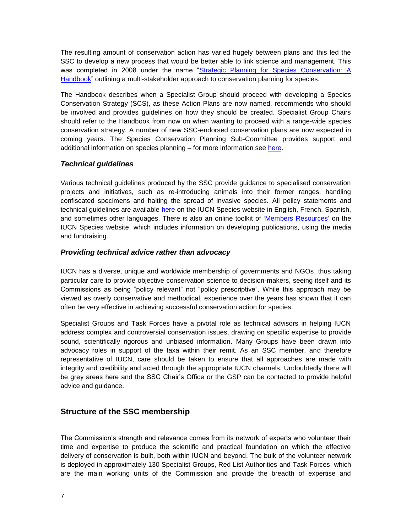The resulting amount of conservation action has varied hugely between plans and this led the SSC to develop a new process that would be better able to link science and management. This was completed in 2008 under the name ["Strategic Planning for Species Conservation: A](http://cmsdata.iucn.org/downloads/scshandbook_2_12_08_compressed.pdf)  [Handbook"](http://cmsdata.iucn.org/downloads/scshandbook_2_12_08_compressed.pdf) outlining a multi-stakeholder approach to conservation planning for species.

The Handbook describes when a Specialist Group should proceed with developing a Species Conservation Strategy (SCS), as these Action Plans are now named, recommends who should be involved and provides guidelines on how they should be created. Specialist Group Chairs should refer to the Handbook from now on when wanting to proceed with a range-wide species conservation strategy. A number of new SSC-endorsed conservation plans are now expected in coming years. The Species Conservation Planning Sub-Committee provides support and additional information on species planning – for more information see [here.](http://www.iucn.org/about/work/programmes/species/who_we_are/about_the_species_survival_commission_/ssc_leadership/ssc_sub_committees/species_conservation_planning_sub_committee/)

## <span id="page-6-0"></span>*Technical guidelines*

Various technical guidelines produced by the SSC provide guidance to specialised conservation projects and initiatives, such as re-introducing animals into their former ranges, handling confiscated specimens and halting the spread of invasive species. All policy statements and technical guidelines are available [here](http://www.iucn.org/about/work/programmes/species/publications/iucn_guidelines_and__policy__statements) on the IUCN Species website in English, French, Spanish, and sometimes other languages. There is also an online toolkit of ["Members Resources"](http://www.iucn.org/about/work/programmes/species/who_we_are/about_the_species_survival_commission_/ssc_members__area_/members_resources) on the IUCN Species website, which includes information on developing publications, using the media and fundraising.

## <span id="page-6-1"></span>*Providing technical advice rather than advocacy*

IUCN has a diverse, unique and worldwide membership of governments and NGOs, thus taking particular care to provide objective conservation science to decision-makers, seeing itself and its Commissions as being "policy relevant" not "policy prescriptive". While this approach may be viewed as overly conservative and methodical, experience over the years has shown that it can often be very effective in achieving successful conservation action for species.

Specialist Groups and Task Forces have a pivotal role as technical advisors in helping IUCN address complex and controversial conservation issues, drawing on specific expertise to provide sound, scientifically rigorous and unbiased information. Many Groups have been drawn into advocacy roles in support of the taxa within their remit. As an SSC member, and therefore representative of IUCN, care should be taken to ensure that all approaches are made with integrity and credibility and acted through the appropriate IUCN channels. Undoubtedly there will be grey areas here and the SSC Chair"s Office or the GSP can be contacted to provide helpful advice and guidance.

# <span id="page-6-2"></span>**Structure of the SSC membership**

The Commission"s strength and relevance comes from its network of experts who volunteer their time and expertise to produce the scientific and practical foundation on which the effective delivery of conservation is built, both within IUCN and beyond. The bulk of the volunteer network is deployed in approximately 130 Specialist Groups, Red List Authorities and Task Forces, which are the main working units of the Commission and provide the breadth of expertise and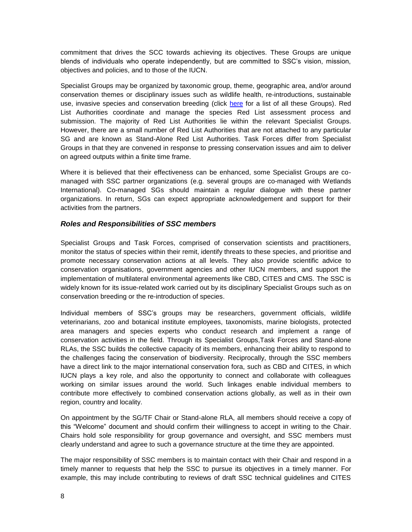commitment that drives the SCC towards achieving its objectives. These Groups are unique blends of individuals who operate independently, but are committed to SSC"s vision, mission, objectives and policies, and to those of the IUCN.

Specialist Groups may be organized by taxonomic group, theme, geographic area, and/or around conservation themes or disciplinary issues such as wildlife health, re-introductions, sustainable use, invasive species and conservation breeding (click [here](http://www.iucn.org/about/work/programmes/species/who_we_are/ssc_specialist_groups_and_red_list_authorities_directory/) for a list of all these Groups). Red List Authorities coordinate and manage the species Red List assessment process and submission. The majority of Red List Authorities lie within the relevant Specialist Groups. However, there are a small number of Red List Authorities that are not attached to any particular SG and are known as Stand-Alone Red List Authorities. Task Forces differ from Specialist Groups in that they are convened in response to pressing conservation issues and aim to deliver on agreed outputs within a finite time frame.

Where it is believed that their effectiveness can be enhanced, some Specialist Groups are comanaged with SSC partner organizations (e.g. several groups are co-managed with Wetlands International). Co-managed SGs should maintain a regular dialogue with these partner organizations. In return, SGs can expect appropriate acknowledgement and support for their activities from the partners.

#### <span id="page-7-0"></span>*Roles and Responsibilities of SSC members*

Specialist Groups and Task Forces, comprised of conservation scientists and practitioners, monitor the status of species within their remit, identify threats to these species, and prioritise and promote necessary conservation actions at all levels. They also provide scientific advice to conservation organisations, government agencies and other IUCN members, and support the implementation of multilateral environmental agreements like CBD, CITES and CMS. The SSC is widely known for its issue-related work carried out by its disciplinary Specialist Groups such as on conservation breeding or the re-introduction of species.

Individual members of SSC"s groups may be researchers, government officials, wildlife veterinarians, zoo and botanical institute employees, taxonomists, marine biologists, protected area managers and species experts who conduct research and implement a range of conservation activities in the field. Through its Specialist Groups,Task Forces and Stand-alone RLAs, the SSC builds the collective capacity of its members, enhancing their ability to respond to the challenges facing the conservation of biodiversity. Reciprocally, through the SSC members have a direct link to the major international conservation fora, such as CBD and CITES, in which IUCN plays a key role, and also the opportunity to connect and collaborate with colleagues working on similar issues around the world. Such linkages enable individual members to contribute more effectively to combined conservation actions globally, as well as in their own region, country and locality.

On appointment by the SG/TF Chair or Stand-alone RLA, all members should receive a copy of this "Welcome" document and should confirm their willingness to accept in writing to the Chair. Chairs hold sole responsibility for group governance and oversight, and SSC members must clearly understand and agree to such a governance structure at the time they are appointed.

The major responsibility of SSC members is to maintain contact with their Chair and respond in a timely manner to requests that help the SSC to pursue its objectives in a timely manner. For example, this may include contributing to reviews of draft SSC technical guidelines and CITES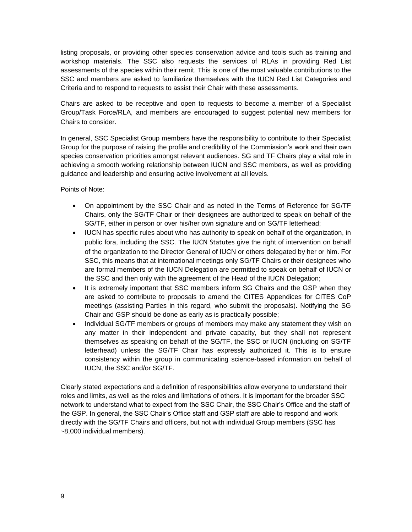listing proposals, or providing other species conservation advice and tools such as training and workshop materials. The SSC also requests the services of RLAs in providing Red List assessments of the species within their remit. This is one of the most valuable contributions to the SSC and members are asked to familiarize themselves with the IUCN Red List Categories and Criteria and to respond to requests to assist their Chair with these assessments.

Chairs are asked to be receptive and open to requests to become a member of a Specialist Group/Task Force/RLA, and members are encouraged to suggest potential new members for Chairs to consider.

In general, SSC Specialist Group members have the responsibility to contribute to their Specialist Group for the purpose of raising the profile and credibility of the Commission"s work and their own species conservation priorities amongst relevant audiences. SG and TF Chairs play a vital role in achieving a smooth working relationship between IUCN and SSC members, as well as providing guidance and leadership and ensuring active involvement at all levels.

Points of Note:

- On appointment by the SSC Chair and as noted in the Terms of Reference for SG/TF Chairs, only the SG/TF Chair or their designees are authorized to speak on behalf of the SG/TF, either in person or over his/her own signature and on SG/TF letterhead;
- IUCN has specific rules about who has authority to speak on behalf of the organization, in public fora, including the SSC. The [IUCN Statutes](http://cmsdata.iucn.org/downloads/statutes_en.pdf) give the right of intervention on behalf of the organization to the Director General of IUCN or others delegated by her or him. For SSC, this means that at international meetings only SG/TF Chairs or their designees who are formal members of the IUCN Delegation are permitted to speak on behalf of IUCN or the SSC and then only with the agreement of the Head of the IUCN Delegation;
- It is extremely important that SSC members inform SG Chairs and the GSP when they are asked to contribute to proposals to amend the CITES Appendices for CITES CoP meetings (assisting Parties in this regard, who submit the proposals). Notifying the SG Chair and GSP should be done as early as is practically possible;
- Individual SG/TF members or groups of members may make any statement they wish on any matter in their independent and private capacity, but they shall not represent themselves as speaking on behalf of the SG/TF, the SSC or IUCN (including on SG/TF letterhead) unless the SG/TF Chair has expressly authorized it. This is to ensure consistency within the group in communicating science-based information on behalf of IUCN, the SSC and/or SG/TF.

<span id="page-8-0"></span>Clearly stated expectations and a definition of responsibilities allow everyone to understand their roles and limits, as well as the roles and limitations of others. It is important for the broader SSC network to understand what to expect from the SSC Chair, the SSC Chair"s Office and the staff of the GSP. In general, the SSC Chair"s Office staff and GSP staff are able to respond and work directly with the SG/TF Chairs and officers, but not with individual Group members (SSC has ~8,000 individual members).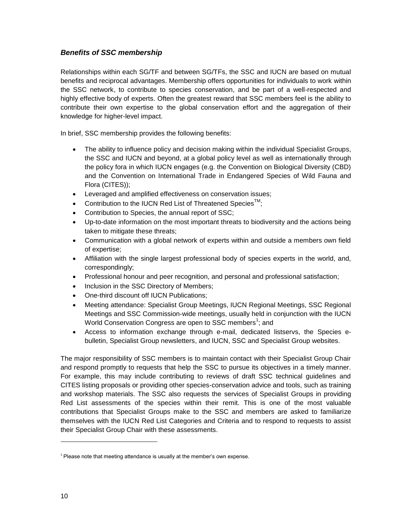## *Benefits of SSC membership*

Relationships within each SG/TF and between SG/TFs, the SSC and IUCN are based on mutual benefits and reciprocal advantages. Membership offers opportunities for individuals to work within the SSC network, to contribute to species conservation, and be part of a well-respected and highly effective body of experts. Often the greatest reward that SSC members feel is the ability to contribute their own expertise to the global conservation effort and the aggregation of their knowledge for higher-level impact.

In brief, SSC membership provides the following benefits:

- The ability to influence policy and decision making within the individual Specialist Groups, the SSC and IUCN and beyond, at a global policy level as well as internationally through the policy fora in which IUCN engages (e.g. the Convention on Biological Diversity (CBD) and the Convention on International Trade in Endangered Species of Wild Fauna and Flora (CITES));
- Leveraged and amplified effectiveness on conservation issues;
- Contribution to the IUCN Red List of Threatened Species<sup>™</sup>;
- Contribution to Species, the annual report of SSC;
- Up-to-date information on the most important threats to biodiversity and the actions being taken to mitigate these threats;
- Communication with a global network of experts within and outside a members own field of expertise;
- Affiliation with the single largest professional body of species experts in the world, and, correspondingly;
- Professional honour and peer recognition, and personal and professional satisfaction;
- Inclusion in the SSC Directory of Members;
- One-third discount off IUCN Publications;
- Meeting attendance: Specialist Group Meetings, IUCN Regional Meetings, SSC Regional Meetings and SSC Commission-wide meetings, usually held in conjunction with the IUCN World Conservation Congress are open to SSC members<sup>1</sup>; and
- Access to information exchange through e-mail, dedicated listservs, the Species ebulletin, Specialist Group newsletters, and IUCN, SSC and Specialist Group websites.

The major responsibility of SSC members is to maintain contact with their Specialist Group Chair and respond promptly to requests that help the SSC to pursue its objectives in a timely manner. For example, this may include contributing to reviews of draft SSC technical guidelines and CITES listing proposals or providing other species-conservation advice and tools, such as training and workshop materials. The SSC also requests the services of Specialist Groups in providing Red List assessments of the species within their remit. This is one of the most valuable contributions that Specialist Groups make to the SSC and members are asked to familiarize themselves with the IUCN Red List Categories and Criteria and to respond to requests to assist their Specialist Group Chair with these assessments.

 $\overline{\phantom{a}}$ 

 $1$  Please note that meeting attendance is usually at the member's own expense.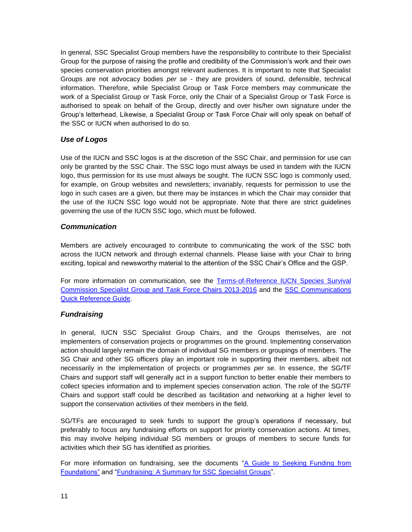In general, SSC Specialist Group members have the responsibility to contribute to their Specialist Group for the purpose of raising the profile and credibility of the Commission"s work and their own species conservation priorities amongst relevant audiences. It is important to note that Specialist Groups are not advocacy bodies *per se* - they are providers of sound, defensible, technical information. Therefore, while Specialist Group or Task Force members may communicate the work of a Specialist Group or Task Force, only the Chair of a Specialist Group or Task Force is authorised to speak on behalf of the Group, directly and over his/her own signature under the Group"s letterhead. Likewise, a Specialist Group or Task Force Chair will only speak on behalf of the SSC or IUCN when authorised to do so.

## <span id="page-10-0"></span>*Use of Logos*

Use of the IUCN and SSC logos is at the discretion of the SSC Chair, and permission for use can only be granted by the SSC Chair. The SSC logo must always be used in tandem with the IUCN logo, thus permission for its use must always be sought. The IUCN SSC logo is commonly used, for example, on Group websites and newsletters; invariably, requests for permission to use the logo in such cases are a given, but there may be instances in which the Chair may consider that the use of the IUCN SSC logo would not be appropriate. Note that there are strict guidelines governing the use of the IUCN SSC logo, which must be followed.

## <span id="page-10-1"></span>*Communication*

Members are actively encouraged to contribute to communicating the work of the SSC both across the IUCN network and through external channels. Please liaise with your Chair to bring exciting, topical and newsworthy material to the attention of the SSC Chair"s Office and the GSP.

For more information on communication, see the Terms-of-Reference IUCN Species Survival [Commission Specialist Group and Task Force Chairs 2013-2016](https://cmsdata.iucn.org/downloads/sg_and_tf_chair_tor.pdf) and the [SSC Communications](https://cmsdata.iucn.org/downloads/communications_quick_reference_guide_final.pdf)  [Quick Reference Guide.](https://cmsdata.iucn.org/downloads/communications_quick_reference_guide_final.pdf)

# <span id="page-10-2"></span>*Fundraising*

In general, IUCN SSC Specialist Group Chairs, and the Groups themselves, are not implementers of conservation projects or programmes on the ground. Implementing conservation action should largely remain the domain of individual SG members or groupings of members. The SG Chair and other SG officers play an important role in supporting their members, albeit not necessarily in the implementation of projects or programmes *per se*. In essence, the SG/TF Chairs and support staff will generally act in a support function to better enable their members to collect species information and to implement species conservation action. The role of the SG/TF Chairs and support staff could be described as facilitation and networking at a higher level to support the conservation activities of their members in the field.

SG/TFs are encouraged to seek funds to support the group"s operations if necessary, but preferably to focus any fundraising efforts on support for priority conservation actions. At times, this may involve helping individual SG members or groups of members to secure funds for activities which their SG has identified as priorities.

For more information on fundraising, see the documents ["A Guide to Seeking Funding from](https://cmsdata.iucn.org/downloads/ssc_guide_to_seeking_funding_from_foundations.pdf)  [Foundations"](https://cmsdata.iucn.org/downloads/ssc_guide_to_seeking_funding_from_foundations.pdf) and ["Fundraising: A Summary for SSC Specialist Groups"](https://cmsdata.iucn.org/downloads/fundraising_a_summary_for_ssc_specialist_groups.pdf).